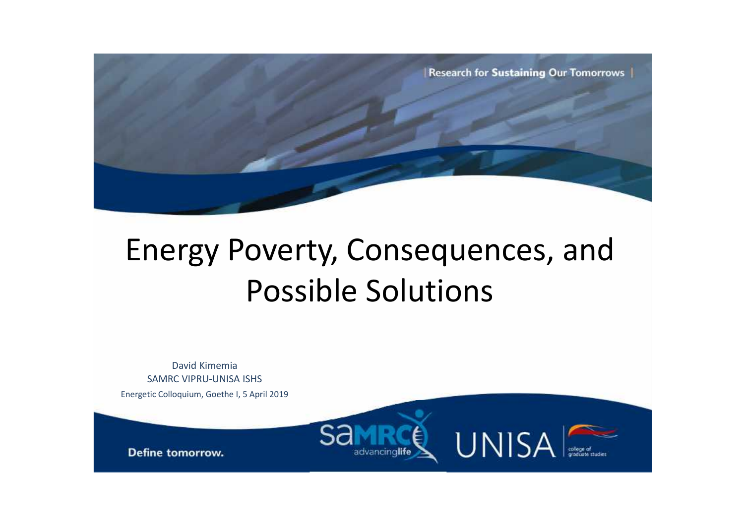

# Energy Poverty, Consequences, and Possible Solutions

David Kimemia SAMRC VIPRU-UNISA ISHS

Energetic Colloquium, Goethe I, 5 April 2019



Define tomorrow.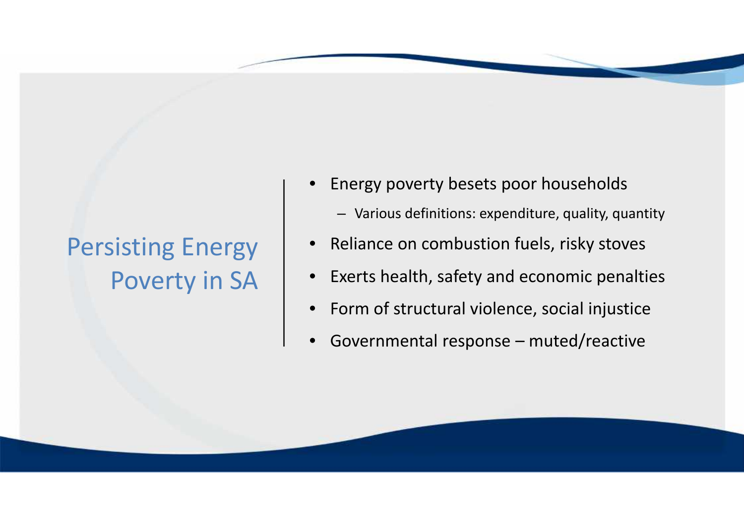# Persisting Energy | • Poverty in SA

- Energy poverty besets poor households
	- Various definitions: expenditure, quality, quantity
- Reliance on combustion fuels, risky stoves
- Exerts health, safety and economic penalties
- Form of structural violence, social injustice
- Governmental response muted/reactive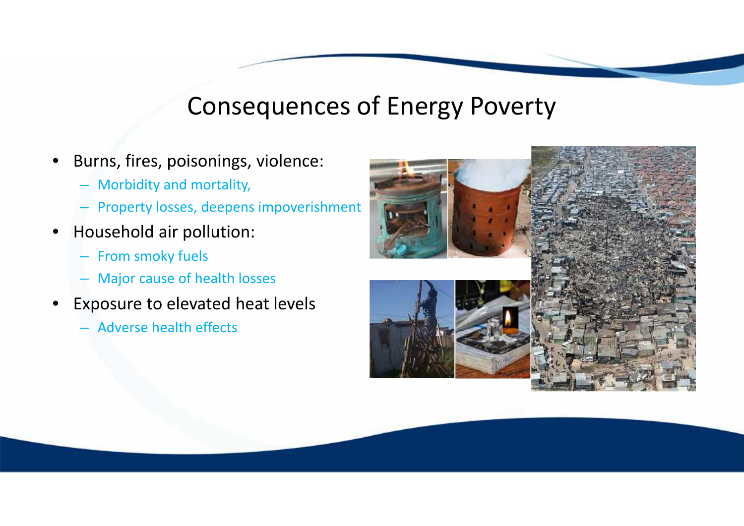### Consequences of Energy Poverty

- Burns, fires, poisonings, violence:
	- Morbidity and mortality,
	- Property losses, deepens impoverishment
- Household air pollution:
	- From smoky fuels
	- Major cause of health losses
- **Exposure to elevated heat levels** 
	- Adverse health effects

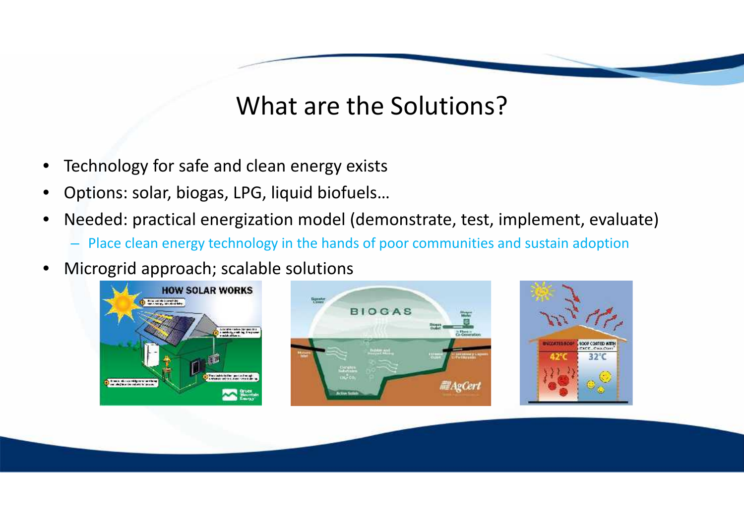# What are the Solutions?

- Technology for safe and clean energy exists
- Options: solar, biogas, LPG, liquid biofuels…
- Needed: practical energization model (demonstrate, test, implement, evaluate)
	- Place clean energy technology in the hands of poor communities and sustain adoption
- Microgrid approach; scalable solutions

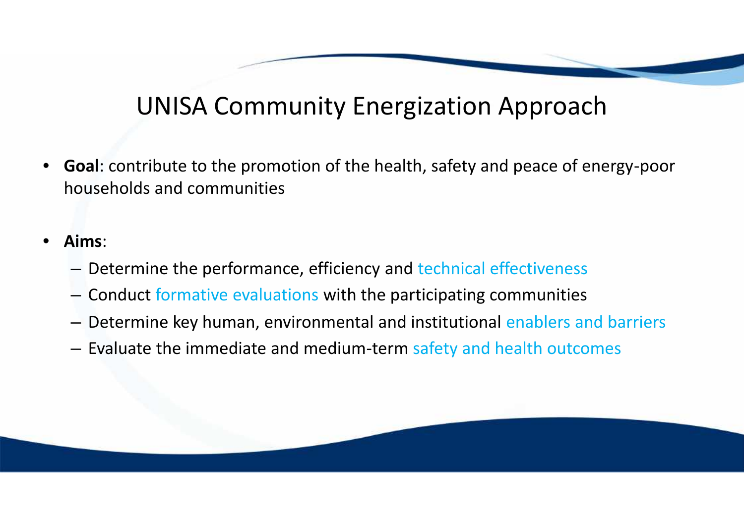# UNISA Community Energization Approach

- **Goal**: contribute to the promotion of the health, safety and peace of energy-poor households and communities
- **Aims**:
	- Determine the performance, efficiency and technical effectiveness
	- Conduct formative evaluations with the participating communities
	- Determine key human, environmental and institutional enablers and barriers
	- Evaluate the immediate and medium-term safety and health outcomes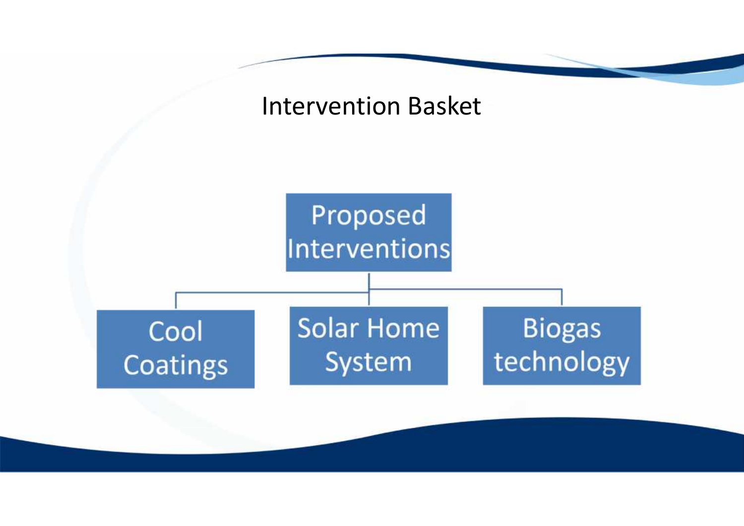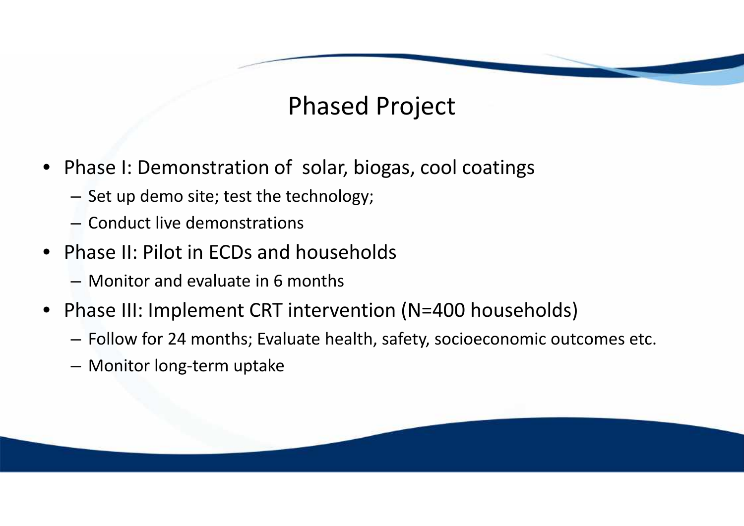# Phased Project

- Phase I: Demonstration of solar, biogas, cool coatings
	- Set up demo site; test the technology;
	- Conduct live demonstrations
- Phase II: Pilot in ECDs and households
	- Monitor and evaluate in 6 months
- Phase III: Implement CRT intervention (N=400 households)
	- Follow for 24 months; Evaluate health, safety, socioeconomic outcomes etc.
	- Monitor long-term uptake

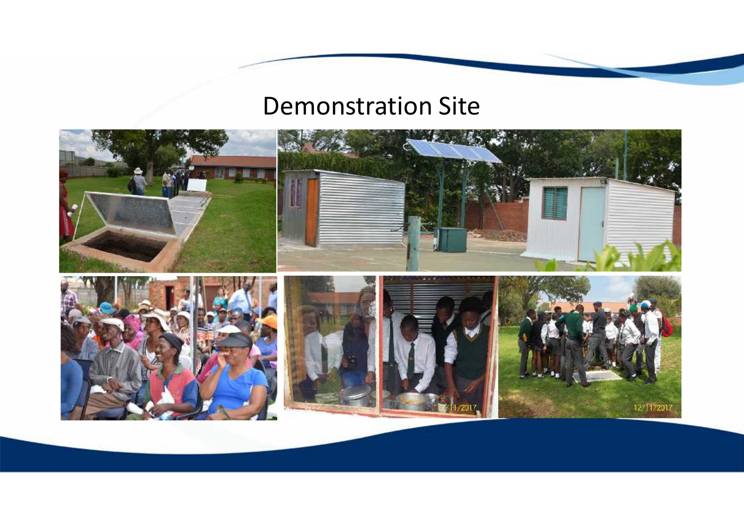#### Demonstration Site

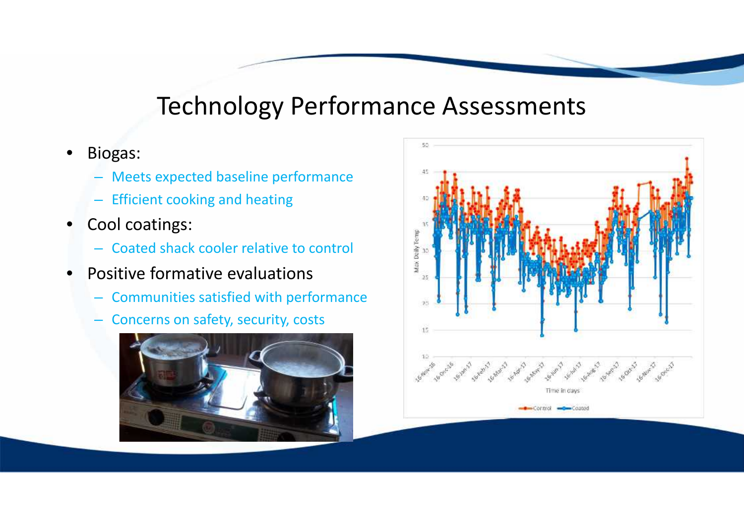### Technology Performance Assessments

- Biogas:
	- Meets expected baseline performance
	- Efficient cooking and heating
- Cool coatings:
	- Coated shack cooler relative to control
- Positive formative evaluations
	- Communities satisfied with performance
	- Concerns on safety, security, costs